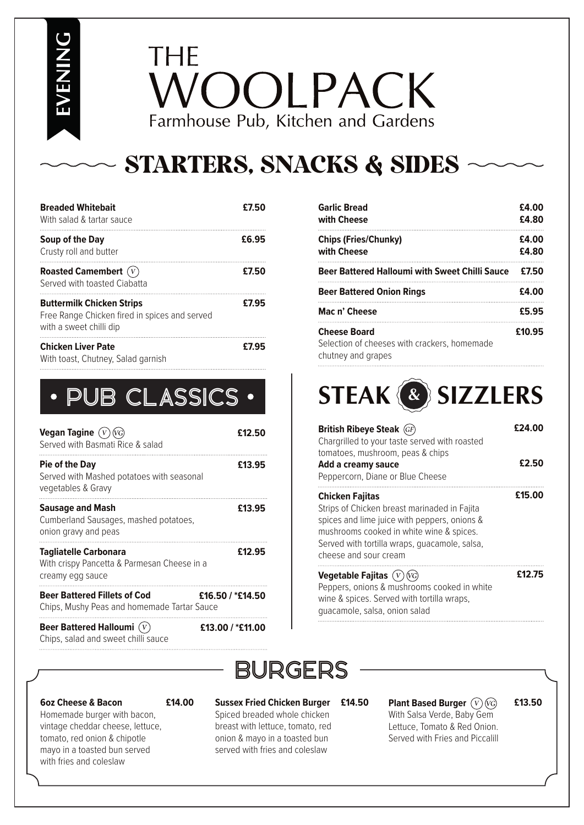**EVENING**

# THE VOOLPACK Farmhouse Pub, Kitchen and Gardens

## STARTERS, SNACKS & SIDES

| <b>Breaded Whitebait</b><br>With salad & tartar sauce                                                        | £7.50 |
|--------------------------------------------------------------------------------------------------------------|-------|
| Soup of the Day<br>Crusty roll and butter                                                                    | £6.95 |
| Roasted Camembert $(V)$<br>Served with toasted Ciabatta                                                      | £7.50 |
| <b>Buttermilk Chicken Strips</b><br>Free Range Chicken fired in spices and served<br>with a sweet chilli dip | £7.95 |
| <b>Chicken Liver Pate</b><br>With toast, Chutney, Salad garnish                                              | £7.95 |

| Vegan Tagine $(V)$<br>Served with Basmati Rice & salad                                          | £12.50           |
|-------------------------------------------------------------------------------------------------|------------------|
| <b>Pie of the Day</b><br>Served with Mashed potatoes with seasonal<br>vegetables & Gravy        | £13.95           |
| <b>Sausage and Mash</b><br>Cumberland Sausages, mashed potatoes,<br>onion gravy and peas        | £13.95           |
| <b>Tagliatelle Carbonara</b><br>With crispy Pancetta & Parmesan Cheese in a<br>creamy egg sauce | £12.95           |
| <b>Beer Battered Fillets of Cod</b><br>Chips, Mushy Peas and homemade Tartar Sauce              | £16.50 / *£14.50 |
| <b>Beer Battered Halloumi</b>                                                                   | £13.00 / *£11.00 |

|  | Beer Battered Halloumi $(V)$        |  |
|--|-------------------------------------|--|
|  | Chips, salad and sweet chilli sauce |  |

**6oz Cheese & Bacon**

#### **£14.00**

Homemade burger with bacon, vintage cheddar cheese, lettuce, tomato, red onion & chipotle mayo in a toasted bun served with fries and coleslaw

#### **Sussex Fried Chicken Burger**  Spiced breaded whole chicken breast with lettuce, tomato, red onion & mayo in a toasted bun served with fries and coleslaw

| <b>Garlic Bread</b><br>with Cheese                    | £4.00<br>£4.80 |
|-------------------------------------------------------|----------------|
| <b>Chips (Fries/Chunky)</b><br>with Cheese            | £4.00<br>£4.80 |
| <b>Beer Battered Halloumi with Sweet Chilli Sauce</b> | £7.50          |
| <b>Beer Battered Onion Rings</b>                      | <br>£4.00      |
| Mac n' Cheese                                         | £5.95          |
| <b>Cheese Board</b>                                   | £10.95         |

**Cheese Board** Selection of cheeses with crackers, homemade chutney and grapes

# PUB CLASSICS **STEAK & SIZZLERS**

| <b>British Ribeye Steak (GF)</b><br>Chargrilled to your taste served with roasted                                                                                                                                                            | £24.00 |
|----------------------------------------------------------------------------------------------------------------------------------------------------------------------------------------------------------------------------------------------|--------|
| tomatoes, mushroom, peas & chips<br>Add a creamy sauce<br>Peppercorn, Diane or Blue Cheese                                                                                                                                                   | £2.50  |
| <b>Chicken Fajitas</b><br>Strips of Chicken breast marinaded in Fajita<br>spices and lime juice with peppers, onions &<br>mushrooms cooked in white wine & spices.<br>Served with tortilla wraps, quacamole, salsa,<br>cheese and sour cream | £15.00 |
| Vegetable Fajitas $(V)$<br>Donnors onions I mushrooms sooked in white                                                                                                                                                                        | £12.75 |

Peppers, onions & mushrooms cooked in white wine & spices. Served with tortilla wraps, guacamole, salsa, onion salad

# BURGERS

#### **Plant Based Burger £14.50 £13.50**

With Salsa Verde, Baby Gem Lettuce, Tomato & Red Onion. Served with Fries and Piccalill